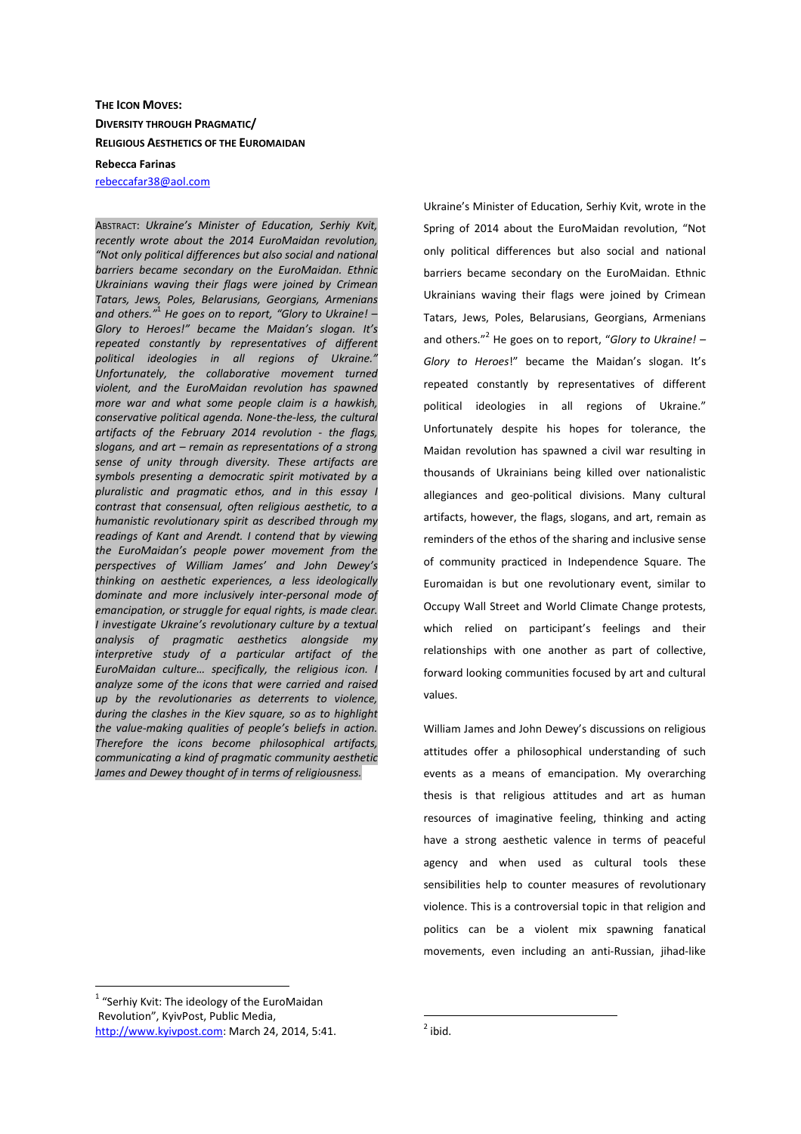## **THE ICON MOVES: DIVERSITY THROUGH PRAGMATIC/ RELIGIOUS AESTHETICS OF THE EUROMAIDAN**

**Rebecca Farinas** 

rebeccafar38@aol.com

ABSTRACT: *Ukraine's Minister of Education, Serhiy Kvit, recently wrote about the 2014 EuroMaidan revolution, "Not only political differences but also social and national barriers became secondary on the EuroMaidan. Ethnic Ukrainians waving their flags were joined by Crimean Tatars, Jews, Poles, Belarusians, Georgians, Armenians and others."*<sup>1</sup>  *He goes on to report, "Glory to Ukraine! – Glory to Heroes!" became the Maidan's slogan. It's repeated constantly by representatives of different political ideologies in all regions of Ukraine." Unfortunately, the collaborative movement turned violent, and the EuroMaidan revolution has spawned more war and what some people claim is a hawkish, conservative political agenda. None-the-less, the cultural artifacts of the February 2014 revolution - the flags, slogans, and art – remain as representations of a strong sense of unity through diversity. These artifacts are symbols presenting a democratic spirit motivated by a pluralistic and pragmatic ethos, and in this essay I contrast that consensual, often religious aesthetic, to a humanistic revolutionary spirit as described through my readings of Kant and Arendt. I contend that by viewing the EuroMaidan's people power movement from the perspectives of William James' and John Dewey's thinking on aesthetic experiences, a less ideologically dominate and more inclusively inter-personal mode of emancipation, or struggle for equal rights, is made clear. I investigate Ukraine's revolutionary culture by a textual analysis of pragmatic aesthetics alongside my interpretive study of a particular artifact of the EuroMaidan culture… specifically, the religious icon. I analyze some of the icons that were carried and raised up by the revolutionaries as deterrents to violence, during the clashes in the Kiev square, so as to highlight the value-making qualities of people's beliefs in action. Therefore the icons become philosophical artifacts, communicating a kind of pragmatic community aesthetic James and Dewey thought of in terms of religiousness.*

Ukraine's Minister of Education, Serhiy Kvit, wrote in the Spring of 2014 about the EuroMaidan revolution, "Not only political differences but also social and national barriers became secondary on the EuroMaidan. Ethnic Ukrainians waving their flags were joined by Crimean Tatars, Jews, Poles, Belarusians, Georgians, Armenians and others."<sup>2</sup> He goes on to report, "*Glory to Ukraine! – Glory to Heroes*!" became the Maidan's slogan. It's repeated constantly by representatives of different political ideologies in all regions of Ukraine." Unfortunately despite his hopes for tolerance, the Maidan revolution has spawned a civil war resulting in thousands of Ukrainians being killed over nationalistic allegiances and geo-political divisions. Many cultural artifacts, however, the flags, slogans, and art, remain as reminders of the ethos of the sharing and inclusive sense of community practiced in Independence Square. The Euromaidan is but one revolutionary event, similar to Occupy Wall Street and World Climate Change protests, which relied on participant's feelings and their relationships with one another as part of collective, forward looking communities focused by art and cultural values.

William James and John Dewey's discussions on religious attitudes offer a philosophical understanding of such events as a means of emancipation. My overarching thesis is that religious attitudes and art as human resources of imaginative feeling, thinking and acting have a strong aesthetic valence in terms of peaceful agency and when used as cultural tools these sensibilities help to counter measures of revolutionary violence. This is a controversial topic in that religion and politics can be a violent mix spawning fanatical movements, even including an anti-Russian, jihad-like

 $\overline{a}$ 

 $1$  "Serhiy Kvit: The ideology of the EuroMaidan Revolution", KyivPost, Public Media, http://www.kyivpost.com: March 24, 2014, 5:41.

 $2$  ibid.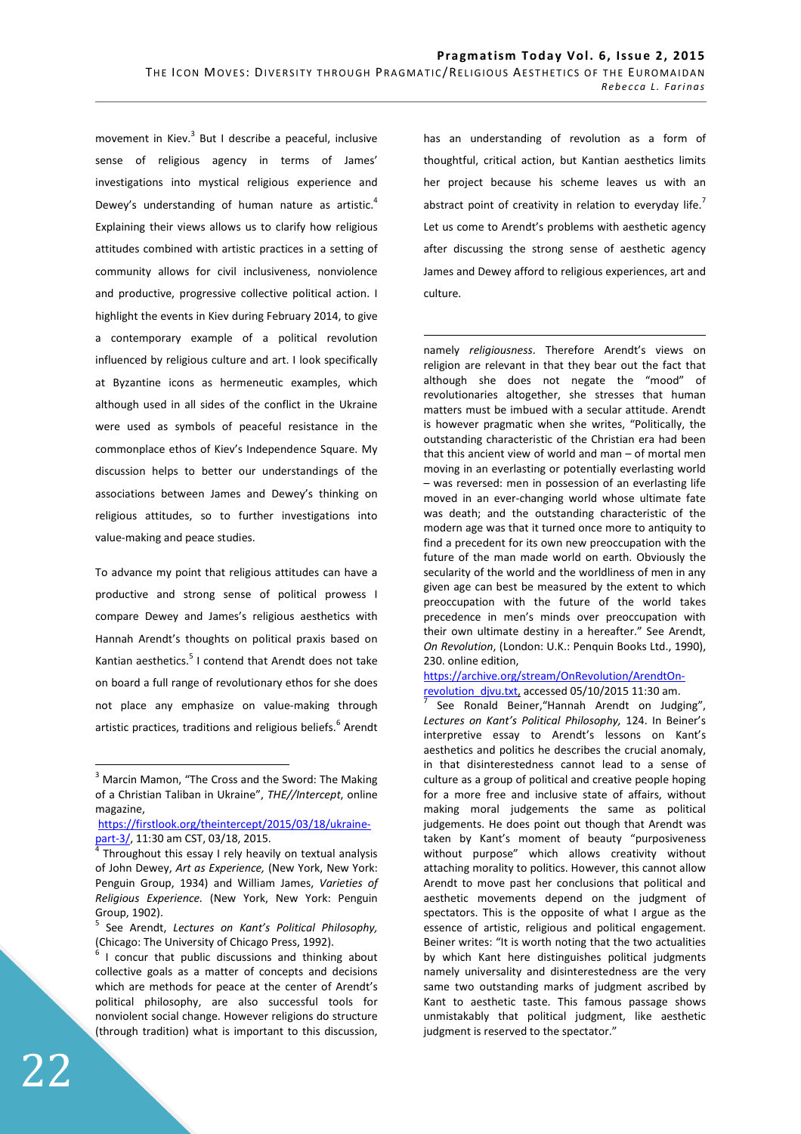movement in Kiev. $3$  But I describe a peaceful, inclusive sense of religious agency in terms of James' investigations into mystical religious experience and Dewey's understanding of human nature as artistic.<sup>4</sup> Explaining their views allows us to clarify how religious attitudes combined with artistic practices in a setting of community allows for civil inclusiveness, nonviolence and productive, progressive collective political action. I highlight the events in Kiev during February 2014, to give a contemporary example of a political revolution influenced by religious culture and art. I look specifically at Byzantine icons as hermeneutic examples, which although used in all sides of the conflict in the Ukraine were used as symbols of peaceful resistance in the commonplace ethos of Kiev's Independence Square. My discussion helps to better our understandings of the associations between James and Dewey's thinking on religious attitudes, so to further investigations into value-making and peace studies.

To advance my point that religious attitudes can have a productive and strong sense of political prowess I compare Dewey and James's religious aesthetics with Hannah Arendt's thoughts on political praxis based on Kantian aesthetics.<sup>5</sup> I contend that Arendt does not take on board a full range of revolutionary ethos for she does not place any emphasize on value-making through artistic practices, traditions and religious beliefs.<sup>6</sup> Arendt

has an understanding of revolution as a form of thoughtful, critical action, but Kantian aesthetics limits her project because his scheme leaves us with an abstract point of creativity in relation to everyday life.<sup>7</sup> Let us come to Arendt's problems with aesthetic agency after discussing the strong sense of aesthetic agency James and Dewey afford to religious experiences, art and culture.

namely *religiousness*. Therefore Arendt's views on religion are relevant in that they bear out the fact that although she does not negate the "mood" of revolutionaries altogether, she stresses that human matters must be imbued with a secular attitude. Arendt is however pragmatic when she writes, "Politically, the outstanding characteristic of the Christian era had been that this ancient view of world and man – of mortal men moving in an everlasting or potentially everlasting world – was reversed: men in possession of an everlasting life moved in an ever-changing world whose ultimate fate was death; and the outstanding characteristic of the modern age was that it turned once more to antiquity to find a precedent for its own new preoccupation with the future of the man made world on earth. Obviously the secularity of the world and the worldliness of men in any given age can best be measured by the extent to which preoccupation with the future of the world takes precedence in men's minds over preoccupation with their own ultimate destiny in a hereafter." See Arendt, *On Revolution*, (London: U.K.: Penquin Books Ltd., 1990), 230. online edition,

https://archive.org/stream/OnRevolution/ArendtOnrevolution\_djvu.txt, accessed 05/10/2015 11:30 am.

 See Ronald Beiner,"Hannah Arendt on Judging", *Lectures on Kant's Political Philosophy,* 124. In Beiner's interpretive essay to Arendt's lessons on Kant's aesthetics and politics he describes the crucial anomaly, in that disinterestedness cannot lead to a sense of culture as a group of political and creative people hoping for a more free and inclusive state of affairs, without making moral judgements the same as political judgements. He does point out though that Arendt was taken by Kant's moment of beauty "purposiveness without purpose" which allows creativity without attaching morality to politics. However, this cannot allow Arendt to move past her conclusions that political and aesthetic movements depend on the judgment of spectators. This is the opposite of what I argue as the essence of artistic, religious and political engagement. Beiner writes: "It is worth noting that the two actualities by which Kant here distinguishes political judgments namely universality and disinterestedness are the very same two outstanding marks of judgment ascribed by Kant to aesthetic taste. This famous passage shows unmistakably that political judgment, like aesthetic judgment is reserved to the spectator."

<sup>&</sup>lt;sup>3</sup> Marcin Mamon, "The Cross and the Sword: The Making of a Christian Taliban in Ukraine", *THE//Intercept*, online magazine,

https://firstlook.org/theintercept/2015/03/18/ukrainepart-3/, 11:30 am CST, 03/18, 2015.

Throughout this essay I rely heavily on textual analysis of John Dewey, *Art as Experience,* (New York, New York: Penguin Group, 1934) and William James, *Varieties of Religious Experience.* (New York, New York: Penguin Group, 1902).

<sup>5</sup> See Arendt, *Lectures on Kant's Political Philosophy,*  (Chicago: The University of Chicago Press, 1992).

<sup>6</sup> I concur that public discussions and thinking about collective goals as a matter of concepts and decisions which are methods for peace at the center of Arendt's political philosophy, are also successful tools for nonviolent social change. However religions do structure (through tradition) what is important to this discussion,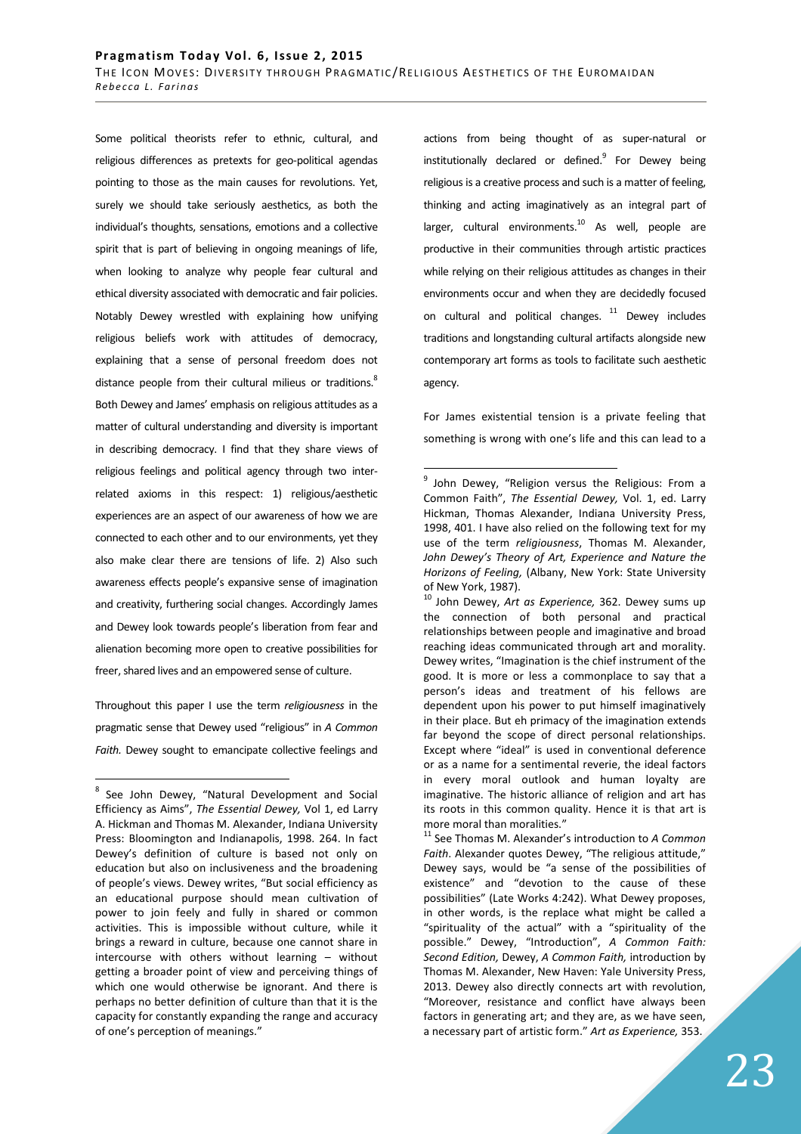Some political theorists refer to ethnic, cultural, and religious differences as pretexts for geo-political agendas pointing to those as the main causes for revolutions. Yet, surely we should take seriously aesthetics, as both the individual's thoughts, sensations, emotions and a collective spirit that is part of believing in ongoing meanings of life, when looking to analyze why people fear cultural and ethical diversity associated with democratic and fair policies. Notably Dewey wrestled with explaining how unifying religious beliefs work with attitudes of democracy, explaining that a sense of personal freedom does not distance people from their cultural milieus or traditions.<sup>8</sup> Both Dewey and James' emphasis on religious attitudes as a matter of cultural understanding and diversity is important in describing democracy. I find that they share views of religious feelings and political agency through two interrelated axioms in this respect: 1) religious/aesthetic experiences are an aspect of our awareness of how we are connected to each other and to our environments, yet they also make clear there are tensions of life. 2) Also such awareness effects people's expansive sense of imagination and creativity, furthering social changes. Accordingly James and Dewey look towards people's liberation from fear and alienation becoming more open to creative possibilities for freer, shared lives and an empowered sense of culture.

Throughout this paper I use the term *religiousness* in the pragmatic sense that Dewey used "religious" in *A Common Faith.* Dewey sought to emancipate collective feelings and

 $\overline{a}$ 

actions from being thought of as super-natural or institutionally declared or defined.<sup>9</sup> For Dewey being religious is a creative process and such is a matter of feeling, thinking and acting imaginatively as an integral part of larger, cultural environments. $^{10}$  As well, people are productive in their communities through artistic practices while relying on their religious attitudes as changes in their environments occur and when they are decidedly focused on cultural and political changes.  $11$  Dewey includes traditions and longstanding cultural artifacts alongside new contemporary art forms as tools to facilitate such aesthetic agency.

For James existential tension is a private feeling that something is wrong with one's life and this can lead to a

<sup>&</sup>lt;sup>8</sup> See John Dewey, "Natural Development and Social Efficiency as Aims", *The Essential Dewey,* Vol 1, ed Larry A. Hickman and Thomas M. Alexander, Indiana University Press: Bloomington and Indianapolis, 1998. 264. In fact Dewey's definition of culture is based not only on education but also on inclusiveness and the broadening of people's views. Dewey writes, "But social efficiency as an educational purpose should mean cultivation of power to join feely and fully in shared or common activities. This is impossible without culture, while it brings a reward in culture, because one cannot share in intercourse with others without learning – without getting a broader point of view and perceiving things of which one would otherwise be ignorant. And there is perhaps no better definition of culture than that it is the capacity for constantly expanding the range and accuracy of one's perception of meanings."

<sup>&</sup>lt;sup>9</sup> John Dewey, "Religion versus the Religious: From a Common Faith", *The Essential Dewey,* Vol. 1, ed. Larry Hickman, Thomas Alexander, Indiana University Press, 1998, 401. I have also relied on the following text for my use of the term *religiousness*, Thomas M. Alexander, *John Dewey's Theory of Art, Experience and Nature the Horizons of Feeling,* (Albany, New York: State University of New York, 1987).

<sup>10</sup> John Dewey, *Art as Experience,* 362. Dewey sums up the connection of both personal and practical relationships between people and imaginative and broad reaching ideas communicated through art and morality. Dewey writes, "Imagination is the chief instrument of the good. It is more or less a commonplace to say that a person's ideas and treatment of his fellows are dependent upon his power to put himself imaginatively in their place. But eh primacy of the imagination extends far beyond the scope of direct personal relationships. Except where "ideal" is used in conventional deference or as a name for a sentimental reverie, the ideal factors in every moral outlook and human loyalty are imaginative. The historic alliance of religion and art has its roots in this common quality. Hence it is that art is more moral than moralities."

<sup>11</sup> See Thomas M. Alexander's introduction to *A Common Faith*. Alexander quotes Dewey, "The religious attitude," Dewey says, would be "a sense of the possibilities of existence" and "devotion to the cause of these possibilities" (Late Works 4:242). What Dewey proposes, in other words, is the replace what might be called a "spirituality of the actual" with a "spirituality of the possible." Dewey, "Introduction", *A Common Faith: Second Edition,* Dewey, *A Common Faith,* introduction by Thomas M. Alexander, New Haven: Yale University Press, 2013. Dewey also directly connects art with revolution, "Moreover, resistance and conflict have always been factors in generating art; and they are, as we have seen, a necessary part of artistic form." *Art as Experience,* 353.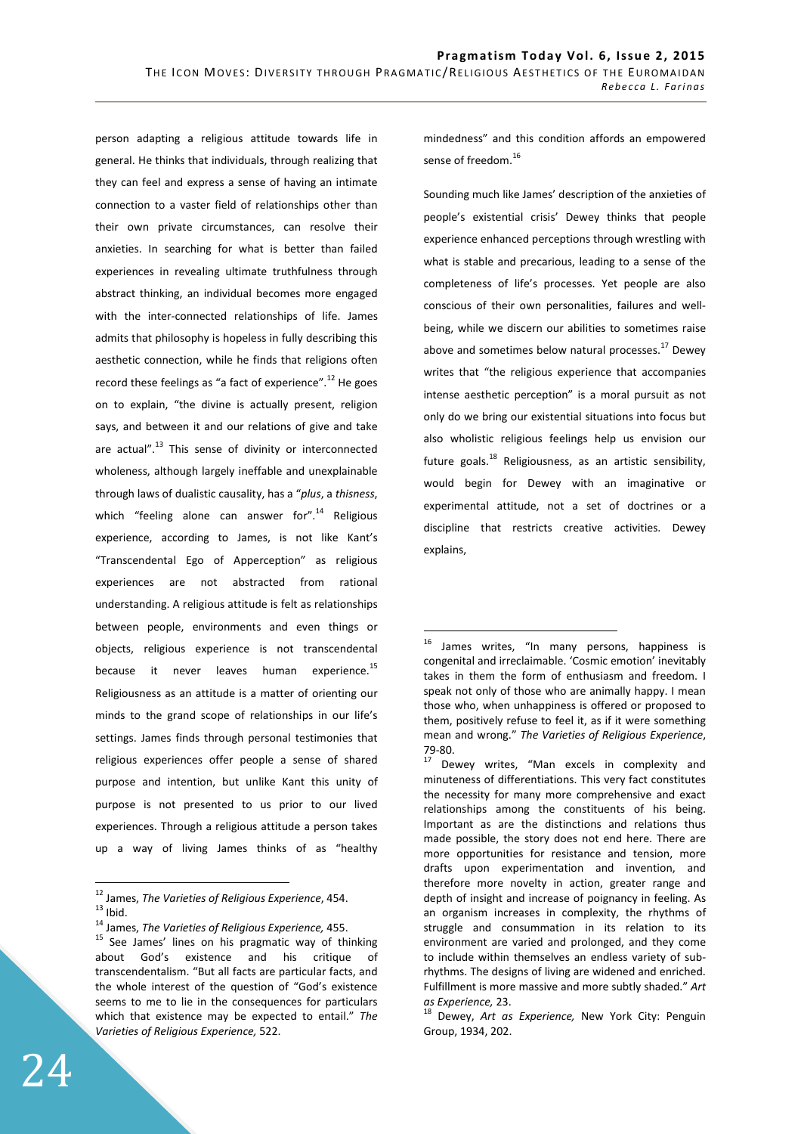person adapting a religious attitude towards life in general. He thinks that individuals, through realizing that they can feel and express a sense of having an intimate connection to a vaster field of relationships other than their own private circumstances, can resolve their anxieties. In searching for what is better than failed experiences in revealing ultimate truthfulness through abstract thinking, an individual becomes more engaged with the inter-connected relationships of life. James admits that philosophy is hopeless in fully describing this aesthetic connection, while he finds that religions often record these feelings as "a fact of experience".<sup>12</sup> He goes on to explain, "the divine is actually present, religion says, and between it and our relations of give and take are actual". $^{13}$  This sense of divinity or interconnected wholeness, although largely ineffable and unexplainable through laws of dualistic causality, has a "*plus*, a *thisness*, which "feeling alone can answer for". $14$  Religious experience, according to James, is not like Kant's "Transcendental Ego of Apperception" as religious experiences are not abstracted from rational understanding. A religious attitude is felt as relationships between people, environments and even things or objects, religious experience is not transcendental because it never leaves human experience.<sup>15</sup> Religiousness as an attitude is a matter of orienting our minds to the grand scope of relationships in our life's settings. James finds through personal testimonies that religious experiences offer people a sense of shared purpose and intention, but unlike Kant this unity of purpose is not presented to us prior to our lived experiences. Through a religious attitude a person takes up a way of living James thinks of as "healthy

 $\overline{a}$ <sup>12</sup> James, *The Varieties of Religious Experience*, 454.  $13$  Ibid.

mindedness" and this condition affords an empowered sense of freedom.<sup>16</sup>

Sounding much like James' description of the anxieties of people's existential crisis' Dewey thinks that people experience enhanced perceptions through wrestling with what is stable and precarious, leading to a sense of the completeness of life's processes. Yet people are also conscious of their own personalities, failures and wellbeing, while we discern our abilities to sometimes raise above and sometimes below natural processes. $^{17}$  Dewey writes that "the religious experience that accompanies intense aesthetic perception" is a moral pursuit as not only do we bring our existential situations into focus but also wholistic religious feelings help us envision our future goals.<sup>18</sup> Religiousness, as an artistic sensibility, would begin for Dewey with an imaginative or experimental attitude, not a set of doctrines or a discipline that restricts creative activities. Dewey explains,

<sup>14</sup> James, *The Varieties of Religious Experience,* 455.

<sup>&</sup>lt;sup>15</sup> See James' lines on his pragmatic way of thinking about God's existence and his critique of transcendentalism. "But all facts are particular facts, and the whole interest of the question of "God's existence seems to me to lie in the consequences for particulars which that existence may be expected to entail." *The Varieties of Religious Experience,* 522.

 $16$  James writes, "In many persons, happiness is congenital and irreclaimable. 'Cosmic emotion' inevitably takes in them the form of enthusiasm and freedom. I speak not only of those who are animally happy. I mean those who, when unhappiness is offered or proposed to them, positively refuse to feel it, as if it were something mean and wrong." *The Varieties of Religious Experience*, 79-80.

Dewey writes, "Man excels in complexity and minuteness of differentiations. This very fact constitutes the necessity for many more comprehensive and exact relationships among the constituents of his being. Important as are the distinctions and relations thus made possible, the story does not end here. There are more opportunities for resistance and tension, more drafts upon experimentation and invention, and therefore more novelty in action, greater range and depth of insight and increase of poignancy in feeling. As an organism increases in complexity, the rhythms of struggle and consummation in its relation to its environment are varied and prolonged, and they come to include within themselves an endless variety of subrhythms. The designs of living are widened and enriched. Fulfillment is more massive and more subtly shaded." *Art as Experience,* 23.

<sup>18</sup> Dewey, *Art as Experience,* New York City: Penguin Group, 1934, 202.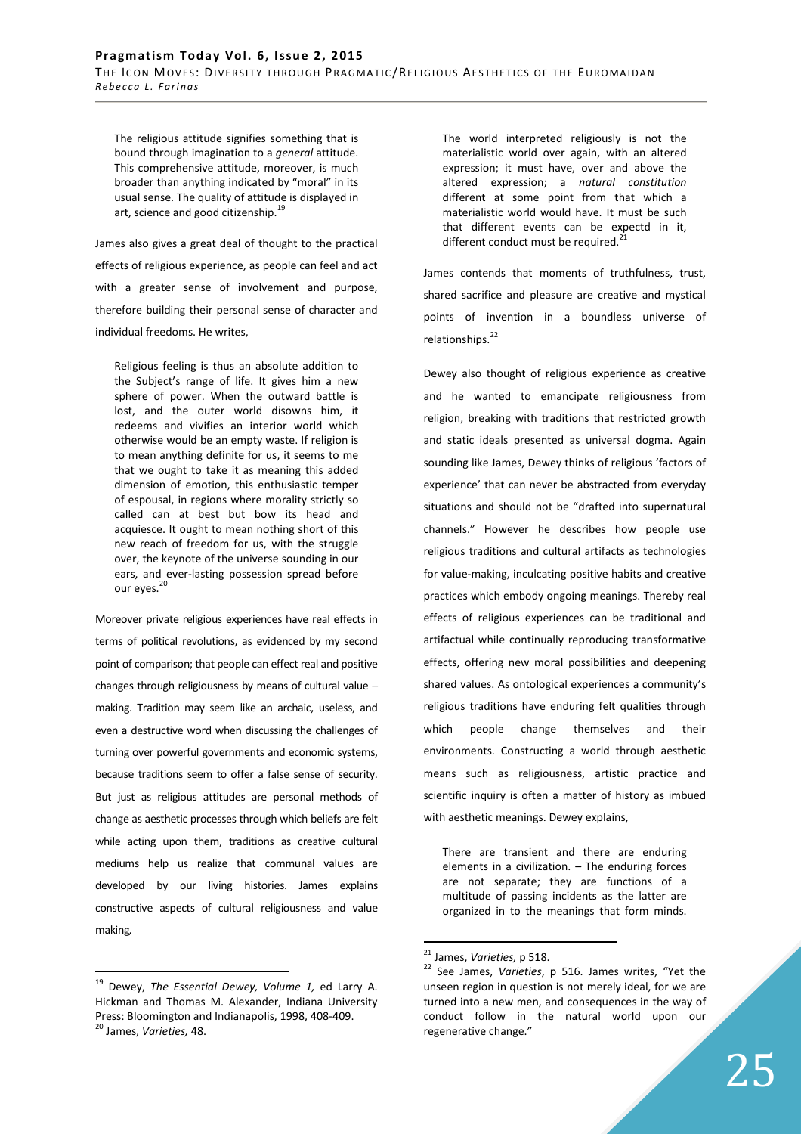The religious attitude signifies something that is bound through imagination to a *general* attitude. This comprehensive attitude, moreover, is much broader than anything indicated by "moral" in its usual sense. The quality of attitude is displayed in art, science and good citizenship.<sup>1</sup>

James also gives a great deal of thought to the practical effects of religious experience, as people can feel and act with a greater sense of involvement and purpose, therefore building their personal sense of character and individual freedoms. He writes,

Religious feeling is thus an absolute addition to the Subject's range of life. It gives him a new sphere of power. When the outward battle is lost, and the outer world disowns him, it redeems and vivifies an interior world which otherwise would be an empty waste. If religion is to mean anything definite for us, it seems to me that we ought to take it as meaning this added dimension of emotion, this enthusiastic temper of espousal, in regions where morality strictly so called can at best but bow its head and acquiesce. It ought to mean nothing short of this new reach of freedom for us, with the struggle over, the keynote of the universe sounding in our ears, and ever-lasting possession spread before our eyes. 20

Moreover private religious experiences have real effects in terms of political revolutions, as evidenced by my second point of comparison; that people can effect real and positive changes through religiousness by means of cultural value – making. Tradition may seem like an archaic, useless, and even a destructive word when discussing the challenges of turning over powerful governments and economic systems, because traditions seem to offer a false sense of security. But just as religious attitudes are personal methods of change as aesthetic processes through which beliefs are felt while acting upon them, traditions as creative cultural mediums help us realize that communal values are developed by our living histories. James explains constructive aspects of cultural religiousness and value making*,* 

 $\overline{a}$ 

The world interpreted religiously is not the materialistic world over again, with an altered expression; it must have, over and above the altered expression; a *natural constitution* different at some point from that which a materialistic world would have. It must be such that different events can be expectd in it, different conduct must be required.<sup>2</sup>

James contends that moments of truthfulness, trust, shared sacrifice and pleasure are creative and mystical points of invention in a boundless universe of relationships.<sup>22</sup>

Dewey also thought of religious experience as creative and he wanted to emancipate religiousness from religion, breaking with traditions that restricted growth and static ideals presented as universal dogma. Again sounding like James, Dewey thinks of religious 'factors of experience' that can never be abstracted from everyday situations and should not be "drafted into supernatural channels." However he describes how people use religious traditions and cultural artifacts as technologies for value-making, inculcating positive habits and creative practices which embody ongoing meanings. Thereby real effects of religious experiences can be traditional and artifactual while continually reproducing transformative effects, offering new moral possibilities and deepening shared values. As ontological experiences a community's religious traditions have enduring felt qualities through which people change themselves and their environments. Constructing a world through aesthetic means such as religiousness, artistic practice and scientific inquiry is often a matter of history as imbued with aesthetic meanings. Dewey explains,

There are transient and there are enduring elements in a civilization. – The enduring forces are not separate; they are functions of a multitude of passing incidents as the latter are organized in to the meanings that form minds.

<sup>19</sup> Dewey, *The Essential Dewey, Volume 1,* ed Larry A. Hickman and Thomas M. Alexander, Indiana University Press: Bloomington and Indianapolis, 1998, 408-409. <sup>20</sup> James, *Varieties,* 48.

<sup>21</sup> James, *Varieties,* p 518.

<sup>22</sup> See James, *Varieties*, p 516. James writes, "Yet the unseen region in question is not merely ideal, for we are turned into a new men, and consequences in the way of conduct follow in the natural world upon our regenerative change."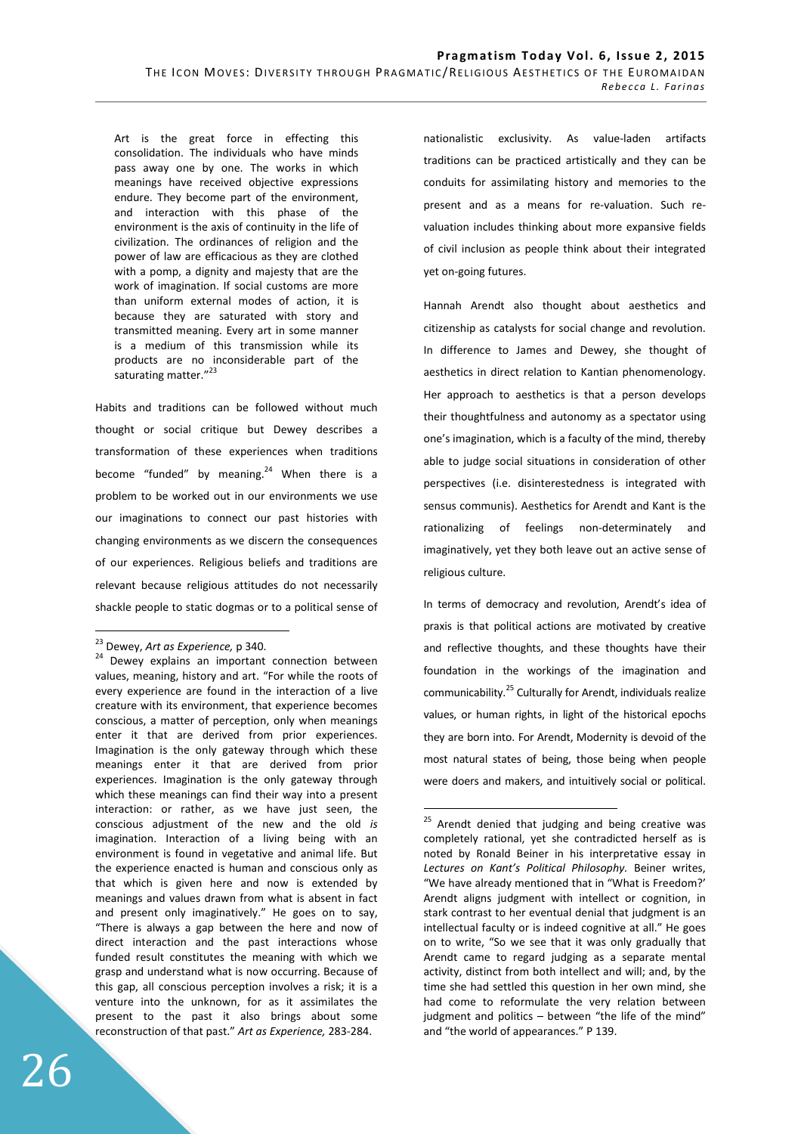Art is the great force in effecting this consolidation. The individuals who have minds pass away one by one. The works in which meanings have received objective expressions endure. They become part of the environment, and interaction with this phase of the environment is the axis of continuity in the life of civilization. The ordinances of religion and the power of law are efficacious as they are clothed with a pomp, a dignity and majesty that are the work of imagination. If social customs are more than uniform external modes of action, it is because they are saturated with story and transmitted meaning. Every art in some manner is a medium of this transmission while its products are no inconsiderable part of the saturating matter."<sup>23</sup>

Habits and traditions can be followed without much thought or social critique but Dewey describes a transformation of these experiences when traditions become "funded" by meaning. $24$  When there is a problem to be worked out in our environments we use our imaginations to connect our past histories with changing environments as we discern the consequences of our experiences. Religious beliefs and traditions are relevant because religious attitudes do not necessarily shackle people to static dogmas or to a political sense of

 $\overline{a}$ 

nationalistic exclusivity. As value-laden artifacts traditions can be practiced artistically and they can be conduits for assimilating history and memories to the present and as a means for re-valuation. Such revaluation includes thinking about more expansive fields of civil inclusion as people think about their integrated yet on-going futures.

Hannah Arendt also thought about aesthetics and citizenship as catalysts for social change and revolution. In difference to James and Dewey, she thought of aesthetics in direct relation to Kantian phenomenology. Her approach to aesthetics is that a person develops their thoughtfulness and autonomy as a spectator using one's imagination, which is a faculty of the mind, thereby able to judge social situations in consideration of other perspectives (i.e. disinterestedness is integrated with sensus communis). Aesthetics for Arendt and Kant is the rationalizing of feelings non-determinately and imaginatively, yet they both leave out an active sense of religious culture.

In terms of democracy and revolution, Arendt's idea of praxis is that political actions are motivated by creative and reflective thoughts, and these thoughts have their foundation in the workings of the imagination and communicability.<sup>25</sup> Culturally for Arendt, individuals realize values, or human rights, in light of the historical epochs they are born into. For Arendt, Modernity is devoid of the most natural states of being, those being when people were doers and makers, and intuitively social or political.

<sup>23</sup> Dewey, *Art as Experience,* p 340.

<sup>&</sup>lt;sup>24</sup> Dewey explains an important connection between values, meaning, history and art. "For while the roots of every experience are found in the interaction of a live creature with its environment, that experience becomes conscious, a matter of perception, only when meanings enter it that are derived from prior experiences. Imagination is the only gateway through which these meanings enter it that are derived from prior experiences. Imagination is the only gateway through which these meanings can find their way into a present interaction: or rather, as we have just seen, the conscious adjustment of the new and the old *is*  imagination. Interaction of a living being with an environment is found in vegetative and animal life. But the experience enacted is human and conscious only as that which is given here and now is extended by meanings and values drawn from what is absent in fact and present only imaginatively." He goes on to say, "There is always a gap between the here and now of direct interaction and the past interactions whose funded result constitutes the meaning with which we grasp and understand what is now occurring. Because of this gap, all conscious perception involves a risk; it is a venture into the unknown, for as it assimilates the present to the past it also brings about some reconstruction of that past." *Art as Experience,* 283-284.

<sup>&</sup>lt;sup>25</sup> Arendt denied that judging and being creative was completely rational, yet she contradicted herself as is noted by Ronald Beiner in his interpretative essay in *Lectures on Kant's Political Philosophy.* Beiner writes, "We have already mentioned that in "What is Freedom?' Arendt aligns judgment with intellect or cognition, in stark contrast to her eventual denial that judgment is an intellectual faculty or is indeed cognitive at all." He goes on to write, "So we see that it was only gradually that Arendt came to regard judging as a separate mental activity, distinct from both intellect and will; and, by the time she had settled this question in her own mind, she had come to reformulate the very relation between judgment and politics - between "the life of the mind" and "the world of appearances." P 139.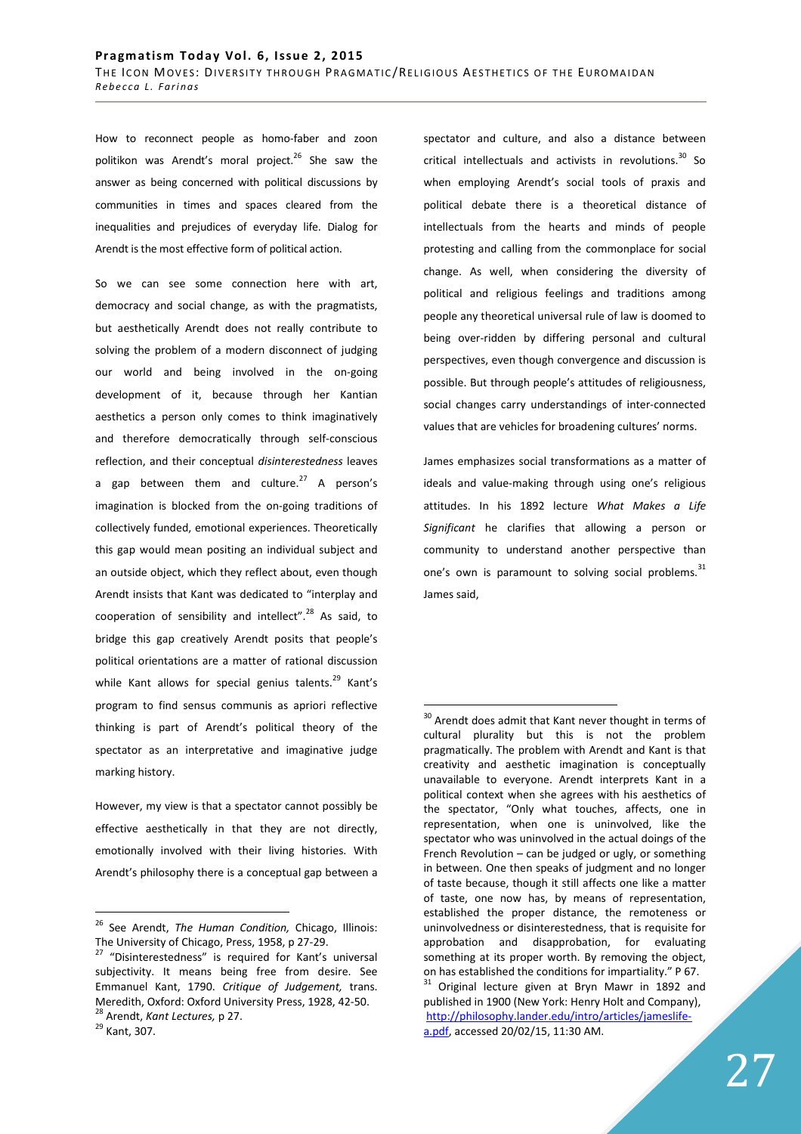How to reconnect people as homo-faber and zoon politikon was Arendt's moral project.<sup>26</sup> She saw the answer as being concerned with political discussions by communities in times and spaces cleared from the inequalities and prejudices of everyday life. Dialog for Arendt is the most effective form of political action.

So we can see some connection here with art, democracy and social change, as with the pragmatists, but aesthetically Arendt does not really contribute to solving the problem of a modern disconnect of judging our world and being involved in the on-going development of it, because through her Kantian aesthetics a person only comes to think imaginatively and therefore democratically through self-conscious reflection, and their conceptual *disinterestedness* leaves a gap between them and culture.<sup>27</sup> A person's imagination is blocked from the on-going traditions of collectively funded, emotional experiences. Theoretically this gap would mean positing an individual subject and an outside object, which they reflect about, even though Arendt insists that Kant was dedicated to "interplay and cooperation of sensibility and intellect".<sup>28</sup> As said, to bridge this gap creatively Arendt posits that people's political orientations are a matter of rational discussion while Kant allows for special genius talents.<sup>29</sup> Kant's program to find sensus communis as apriori reflective thinking is part of Arendt's political theory of the spectator as an interpretative and imaginative judge marking history.

However, my view is that a spectator cannot possibly be effective aesthetically in that they are not directly, emotionally involved with their living histories. With Arendt's philosophy there is a conceptual gap between a

 $\overline{a}$ 

spectator and culture, and also a distance between critical intellectuals and activists in revolutions.<sup>30</sup> So when employing Arendt's social tools of praxis and political debate there is a theoretical distance of intellectuals from the hearts and minds of people protesting and calling from the commonplace for social change. As well, when considering the diversity of political and religious feelings and traditions among people any theoretical universal rule of law is doomed to being over-ridden by differing personal and cultural perspectives, even though convergence and discussion is possible. But through people's attitudes of religiousness, social changes carry understandings of inter-connected values that are vehicles for broadening cultures' norms.

James emphasizes social transformations as a matter of ideals and value-making through using one's religious attitudes. In his 1892 lecture *What Makes a Life Significant* he clarifies that allowing a person or community to understand another perspective than one's own is paramount to solving social problems.<sup>31</sup> James said,

<sup>26</sup> See Arendt, *The Human Condition,* Chicago, Illinois: The University of Chicago, Press, 1958, p 27-29.

<sup>&</sup>lt;sup>27</sup> "Disinterestedness" is required for Kant's universal subjectivity. It means being free from desire. See Emmanuel Kant, 1790. *Critique of Judgement,* trans. Meredith, Oxford: Oxford University Press, 1928, 42-50. <sup>28</sup> Arendt, *Kant Lectures,* p 27.

<sup>29</sup> Kant, 307.

 $30$  Arendt does admit that Kant never thought in terms of cultural plurality but this is not the problem pragmatically. The problem with Arendt and Kant is that creativity and aesthetic imagination is conceptually unavailable to everyone. Arendt interprets Kant in a political context when she agrees with his aesthetics of the spectator, "Only what touches, affects, one in representation, when one is uninvolved, like the spectator who was uninvolved in the actual doings of the French Revolution – can be judged or ugly, or something in between. One then speaks of judgment and no longer of taste because, though it still affects one like a matter of taste, one now has, by means of representation, established the proper distance, the remoteness or uninvolvedness or disinterestedness, that is requisite for approbation and disapprobation, for evaluating something at its proper worth. By removing the object, on has established the conditions for impartiality." P 67.  $31$  Original lecture given at Bryn Mawr in 1892 and

published in 1900 (New York: Henry Holt and Company), http://philosophy.lander.edu/intro/articles/jameslifea.pdf, accessed 20/02/15, 11:30 AM.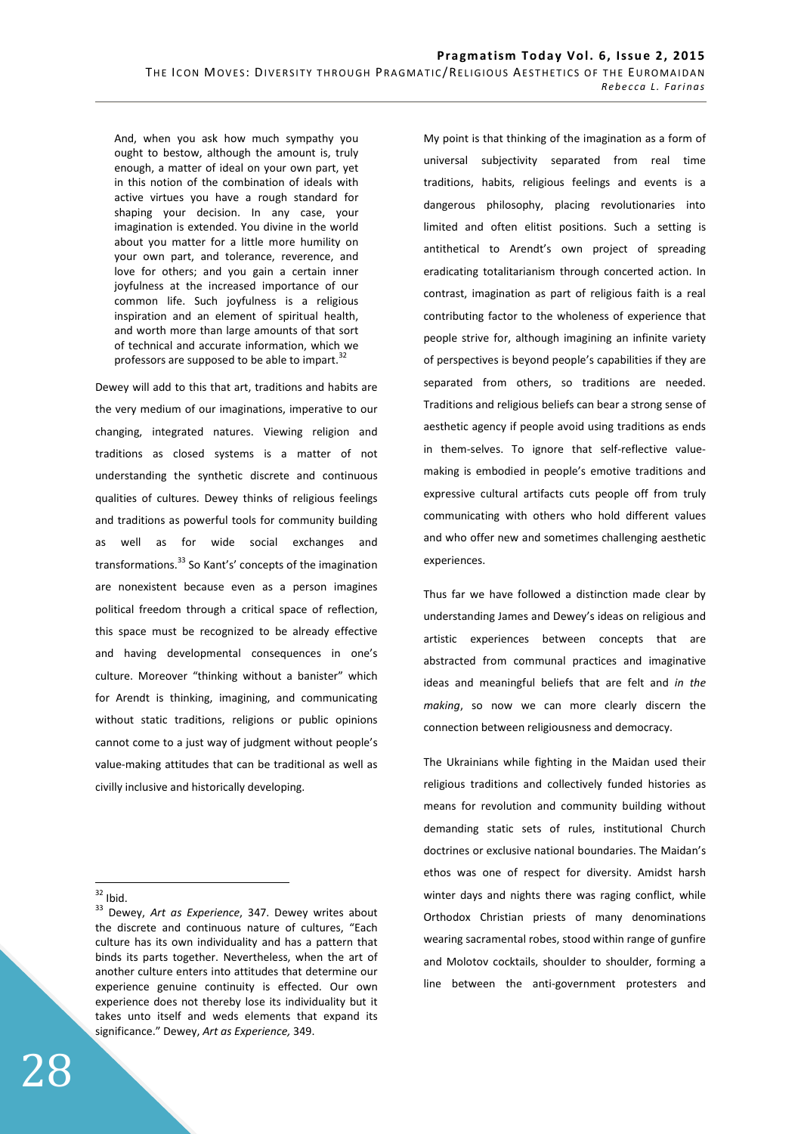And, when you ask how much sympathy you ought to bestow, although the amount is, truly enough, a matter of ideal on your own part, yet in this notion of the combination of ideals with active virtues you have a rough standard for shaping your decision. In any case, your imagination is extended. You divine in the world about you matter for a little more humility on your own part, and tolerance, reverence, and love for others; and you gain a certain inner joyfulness at the increased importance of our common life. Such joyfulness is a religious inspiration and an element of spiritual health, and worth more than large amounts of that sort of technical and accurate information, which we professors are supposed to be able to impart.<sup>32</sup>

Dewey will add to this that art, traditions and habits are the very medium of our imaginations, imperative to our changing, integrated natures. Viewing religion and traditions as closed systems is a matter of not understanding the synthetic discrete and continuous qualities of cultures. Dewey thinks of religious feelings and traditions as powerful tools for community building as well as for wide social exchanges and transformations.<sup>33</sup> So Kant's' concepts of the imagination are nonexistent because even as a person imagines political freedom through a critical space of reflection, this space must be recognized to be already effective and having developmental consequences in one's culture. Moreover "thinking without a banister" which for Arendt is thinking, imagining, and communicating without static traditions, religions or public opinions cannot come to a just way of judgment without people's value-making attitudes that can be traditional as well as civilly inclusive and historically developing.

 $\overline{a}$ 

My point is that thinking of the imagination as a form of universal subjectivity separated from real time traditions, habits, religious feelings and events is a dangerous philosophy, placing revolutionaries into limited and often elitist positions. Such a setting is antithetical to Arendt's own project of spreading eradicating totalitarianism through concerted action. In contrast, imagination as part of religious faith is a real contributing factor to the wholeness of experience that people strive for, although imagining an infinite variety of perspectives is beyond people's capabilities if they are separated from others, so traditions are needed. Traditions and religious beliefs can bear a strong sense of aesthetic agency if people avoid using traditions as ends in them-selves. To ignore that self-reflective valuemaking is embodied in people's emotive traditions and expressive cultural artifacts cuts people off from truly communicating with others who hold different values and who offer new and sometimes challenging aesthetic experiences.

Thus far we have followed a distinction made clear by understanding James and Dewey's ideas on religious and artistic experiences between concepts that are abstracted from communal practices and imaginative ideas and meaningful beliefs that are felt and *in the making*, so now we can more clearly discern the connection between religiousness and democracy.

The Ukrainians while fighting in the Maidan used their religious traditions and collectively funded histories as means for revolution and community building without demanding static sets of rules, institutional Church doctrines or exclusive national boundaries. The Maidan's ethos was one of respect for diversity. Amidst harsh winter days and nights there was raging conflict, while Orthodox Christian priests of many denominations wearing sacramental robes, stood within range of gunfire and Molotov cocktails, shoulder to shoulder, forming a line between the anti-government protesters and

 $32$  Ibid.

<sup>33</sup> Dewey, *Art as Experience*, 347. Dewey writes about the discrete and continuous nature of cultures, "Each culture has its own individuality and has a pattern that binds its parts together. Nevertheless, when the art of another culture enters into attitudes that determine our experience genuine continuity is effected. Our own experience does not thereby lose its individuality but it takes unto itself and weds elements that expand its significance." Dewey, *Art as Experience,* 349.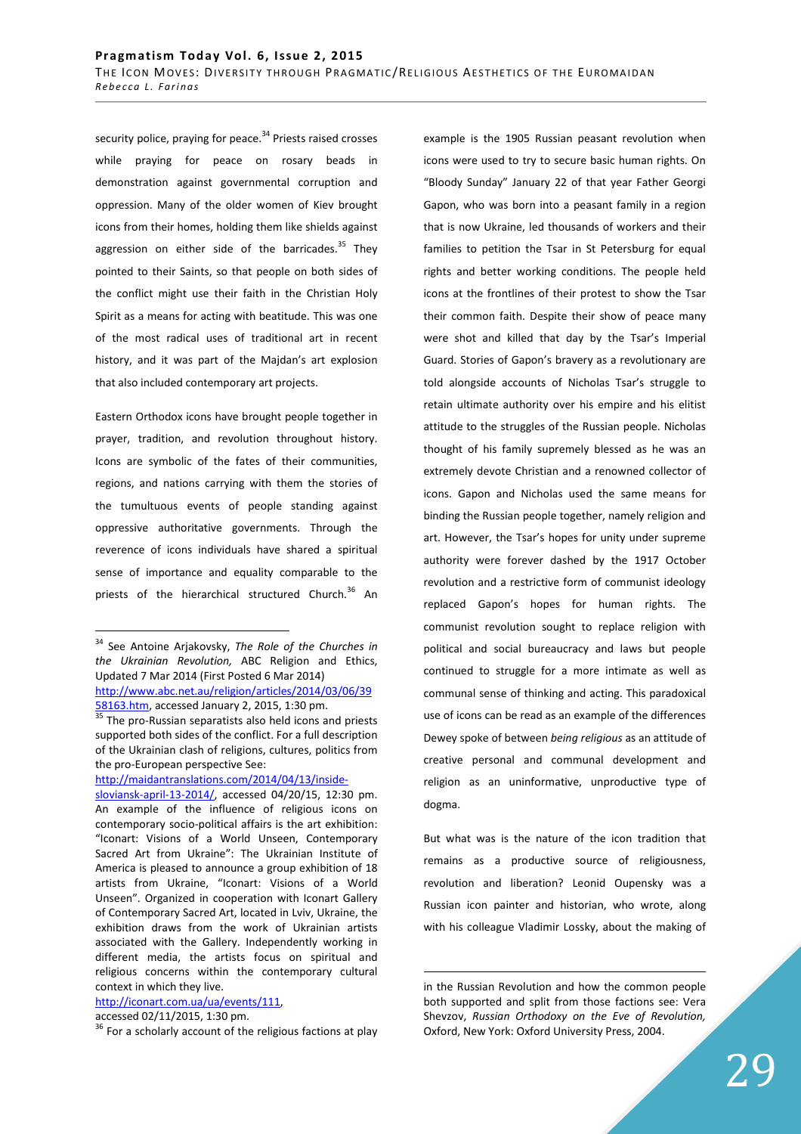security police, praying for peace.<sup>34</sup> Priests raised crosses while praying for peace on rosary beads in demonstration against governmental corruption and oppression. Many of the older women of Kiev brought icons from their homes, holding them like shields against aggression on either side of the barricades. $35$  They pointed to their Saints, so that people on both sides of the conflict might use their faith in the Christian Holy Spirit as a means for acting with beatitude. This was one of the most radical uses of traditional art in recent history, and it was part of the Majdan's art explosion that also included contemporary art projects.

Eastern Orthodox icons have brought people together in prayer, tradition, and revolution throughout history. Icons are symbolic of the fates of their communities, regions, and nations carrying with them the stories of the tumultuous events of people standing against oppressive authoritative governments. Through the reverence of icons individuals have shared a spiritual sense of importance and equality comparable to the priests of the hierarchical structured Church.<sup>36</sup> An

http://maidantranslations.com/2014/04/13/inside-

## http://iconart.com.ua/ua/events/111,

accessed 02/11/2015, 1:30 pm.

example is the 1905 Russian peasant revolution when icons were used to try to secure basic human rights. On "Bloody Sunday" January 22 of that year Father Georgi Gapon, who was born into a peasant family in a region that is now Ukraine, led thousands of workers and their families to petition the Tsar in St Petersburg for equal rights and better working conditions. The people held icons at the frontlines of their protest to show the Tsar their common faith. Despite their show of peace many were shot and killed that day by the Tsar's Imperial Guard. Stories of Gapon's bravery as a revolutionary are told alongside accounts of Nicholas Tsar's struggle to retain ultimate authority over his empire and his elitist attitude to the struggles of the Russian people. Nicholas thought of his family supremely blessed as he was an extremely devote Christian and a renowned collector of icons. Gapon and Nicholas used the same means for binding the Russian people together, namely religion and art. However, the Tsar's hopes for unity under supreme authority were forever dashed by the 1917 October revolution and a restrictive form of communist ideology replaced Gapon's hopes for human rights. The communist revolution sought to replace religion with political and social bureaucracy and laws but people continued to struggle for a more intimate as well as communal sense of thinking and acting. This paradoxical use of icons can be read as an example of the differences Dewey spoke of between *being religious* as an attitude of creative personal and communal development and religion as an uninformative, unproductive type of dogma.

But what was is the nature of the icon tradition that remains as a productive source of religiousness, revolution and liberation? Leonid Oupensky was a Russian icon painter and historian, who wrote, along with his colleague Vladimir Lossky, about the making of

 $\overline{a}$ <sup>34</sup> See Antoine Arjakovsky, *The Role of the Churches in the Ukrainian Revolution,* ABC Religion and Ethics, Updated 7 Mar 2014 (First Posted 6 Mar 2014) http://www.abc.net.au/religion/articles/2014/03/06/39 58163.htm, accessed January 2, 2015, 1:30 pm.

 $\frac{35}{35}$  The pro-Russian separatists also held icons and priests supported both sides of the conflict. For a full description of the Ukrainian clash of religions, cultures, politics from the pro-European perspective See:

sloviansk-april-13-2014/, accessed 04/20/15, 12:30 pm. An example of the influence of religious icons on contemporary socio-political affairs is the art exhibition: "Iconart: Visions of a World Unseen, Contemporary Sacred Art from Ukraine": The Ukrainian Institute of America is pleased to announce a group exhibition of 18 artists from Ukraine, "Iconart: Visions of a World Unseen". Organized in cooperation with Iconart Gallery of Contemporary Sacred Art, located in Lviv, Ukraine, the exhibition draws from the work of Ukrainian artists associated with the Gallery. Independently working in different media, the artists focus on spiritual and religious concerns within the contemporary cultural context in which they live.

<sup>&</sup>lt;sup>36</sup> For a scholarly account of the religious factions at play

in the Russian Revolution and how the common people both supported and split from those factions see: Vera Shevzov, *Russian Orthodoxy on the Eve of Revolution,*  Oxford, New York: Oxford University Press, 2004.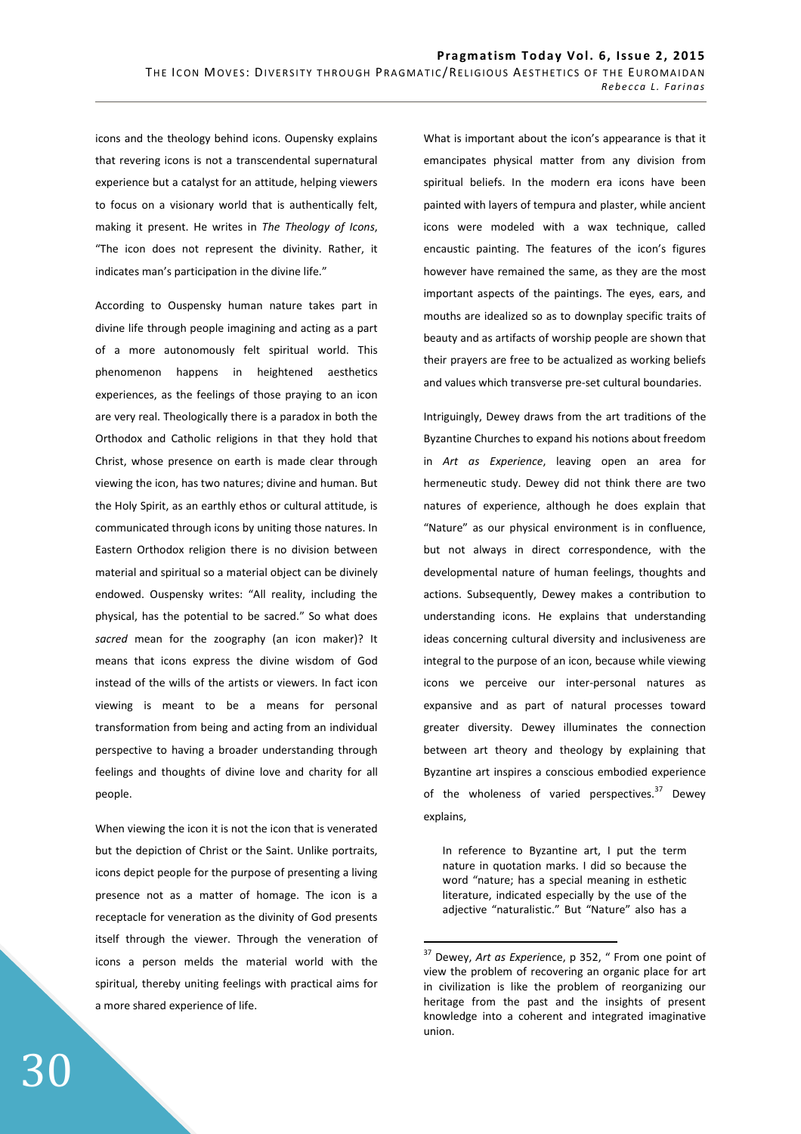icons and the theology behind icons. Oupensky explains that revering icons is not a transcendental supernatural experience but a catalyst for an attitude, helping viewers to focus on a visionary world that is authentically felt, making it present. He writes in *The Theology of Icons*, "The icon does not represent the divinity. Rather, it indicates man's participation in the divine life."

According to Ouspensky human nature takes part in divine life through people imagining and acting as a part of a more autonomously felt spiritual world. This phenomenon happens in heightened aesthetics experiences, as the feelings of those praying to an icon are very real. Theologically there is a paradox in both the Orthodox and Catholic religions in that they hold that Christ, whose presence on earth is made clear through viewing the icon, has two natures; divine and human. But the Holy Spirit, as an earthly ethos or cultural attitude, is communicated through icons by uniting those natures. In Eastern Orthodox religion there is no division between material and spiritual so a material object can be divinely endowed. Ouspensky writes: "All reality, including the physical, has the potential to be sacred." So what does *sacred* mean for the zoography (an icon maker)? It means that icons express the divine wisdom of God instead of the wills of the artists or viewers. In fact icon viewing is meant to be a means for personal transformation from being and acting from an individual perspective to having a broader understanding through feelings and thoughts of divine love and charity for all people.

When viewing the icon it is not the icon that is venerated but the depiction of Christ or the Saint. Unlike portraits, icons depict people for the purpose of presenting a living presence not as a matter of homage. The icon is a receptacle for veneration as the divinity of God presents itself through the viewer. Through the veneration of icons a person melds the material world with the spiritual, thereby uniting feelings with practical aims for a more shared experience of life.

What is important about the icon's appearance is that it emancipates physical matter from any division from spiritual beliefs. In the modern era icons have been painted with layers of tempura and plaster, while ancient icons were modeled with a wax technique, called encaustic painting. The features of the icon's figures however have remained the same, as they are the most important aspects of the paintings. The eyes, ears, and mouths are idealized so as to downplay specific traits of beauty and as artifacts of worship people are shown that their prayers are free to be actualized as working beliefs and values which transverse pre-set cultural boundaries.

Intriguingly, Dewey draws from the art traditions of the Byzantine Churches to expand his notions about freedom in *Art as Experience*, leaving open an area for hermeneutic study. Dewey did not think there are two natures of experience, although he does explain that "Nature" as our physical environment is in confluence, but not always in direct correspondence, with the developmental nature of human feelings, thoughts and actions. Subsequently, Dewey makes a contribution to understanding icons. He explains that understanding ideas concerning cultural diversity and inclusiveness are integral to the purpose of an icon, because while viewing icons we perceive our inter-personal natures as expansive and as part of natural processes toward greater diversity. Dewey illuminates the connection between art theory and theology by explaining that Byzantine art inspires a conscious embodied experience of the wholeness of varied perspectives.<sup>37</sup> Dewey explains,

In reference to Byzantine art, I put the term nature in quotation marks. I did so because the word "nature; has a special meaning in esthetic literature, indicated especially by the use of the adjective "naturalistic." But "Nature" also has a

<sup>37</sup> Dewey, *Art as Experie*nce, p 352, " From one point of view the problem of recovering an organic place for art in civilization is like the problem of reorganizing our heritage from the past and the insights of present knowledge into a coherent and integrated imaginative union.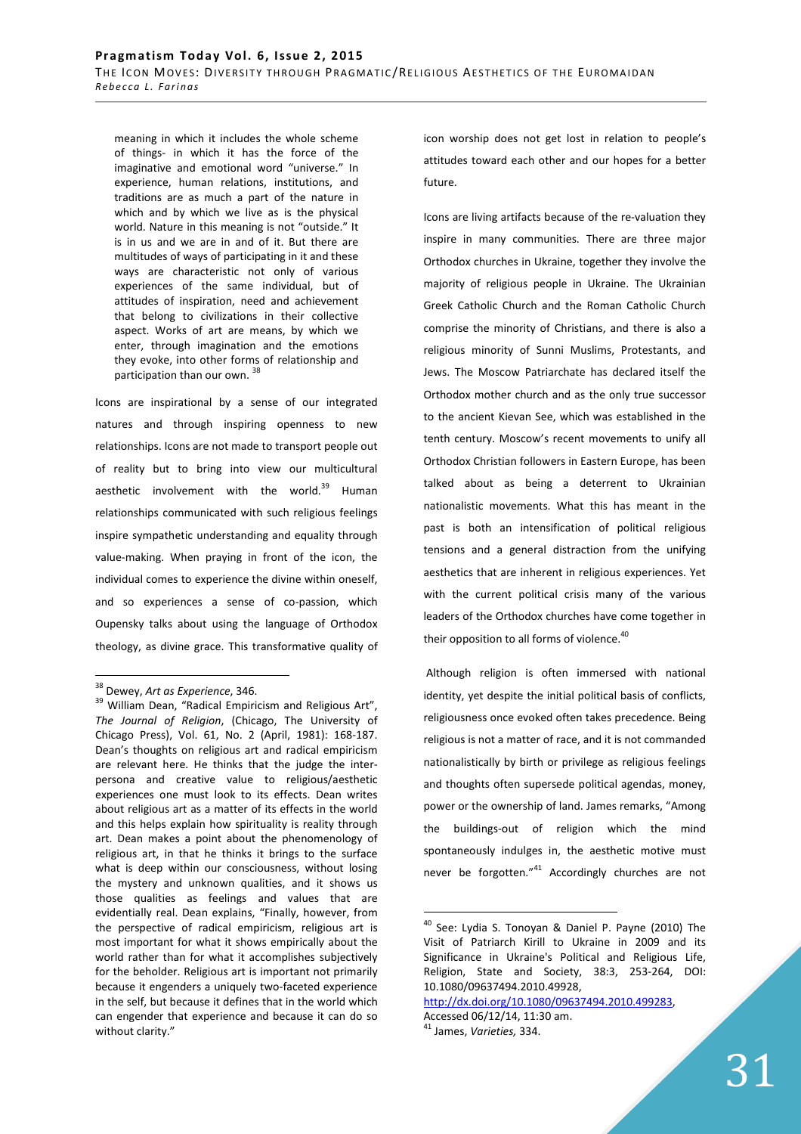meaning in which it includes the whole scheme of things- in which it has the force of the imaginative and emotional word "universe." In experience, human relations, institutions, and traditions are as much a part of the nature in which and by which we live as is the physical world. Nature in this meaning is not "outside." It is in us and we are in and of it. But there are multitudes of ways of participating in it and these ways are characteristic not only of various experiences of the same individual, but of attitudes of inspiration, need and achievement that belong to civilizations in their collective aspect. Works of art are means, by which we enter, through imagination and the emotions they evoke, into other forms of relationship and participation than our own. 38

Icons are inspirational by a sense of our integrated natures and through inspiring openness to new relationships. Icons are not made to transport people out of reality but to bring into view our multicultural aesthetic involvement with the world.<sup>39</sup> Human relationships communicated with such religious feelings inspire sympathetic understanding and equality through value-making. When praying in front of the icon, the individual comes to experience the divine within oneself, and so experiences a sense of co-passion, which Oupensky talks about using the language of Orthodox theology, as divine grace. This transformative quality of

 $\overline{a}$ 

icon worship does not get lost in relation to people's attitudes toward each other and our hopes for a better future.

Icons are living artifacts because of the re-valuation they inspire in many communities. There are three major Orthodox churches in Ukraine, together they involve the majority of religious people in Ukraine. The Ukrainian Greek Catholic Church and the Roman Catholic Church comprise the minority of Christians, and there is also a religious minority of Sunni Muslims, Protestants, and Jews. The Moscow Patriarchate has declared itself the Orthodox mother church and as the only true successor to the ancient Kievan See, which was established in the tenth century. Moscow's recent movements to unify all Orthodox Christian followers in Eastern Europe, has been talked about as being a deterrent to Ukrainian nationalistic movements. What this has meant in the past is both an intensification of political religious tensions and a general distraction from the unifying aesthetics that are inherent in religious experiences. Yet with the current political crisis many of the various leaders of the Orthodox churches have come together in their opposition to all forms of violence.<sup>40</sup>

 Although religion is often immersed with national identity, yet despite the initial political basis of conflicts, religiousness once evoked often takes precedence. Being religious is not a matter of race, and it is not commanded nationalistically by birth or privilege as religious feelings and thoughts often supersede political agendas, money, power or the ownership of land. James remarks, "Among the buildings-out of religion which the mind spontaneously indulges in, the aesthetic motive must never be forgotten."<sup>41</sup> Accordingly churches are not

<sup>38</sup> Dewey, *Art as Experience*, 346.

<sup>&</sup>lt;sup>39</sup> William Dean, "Radical Empiricism and Religious Art", *The Journal of Religion*, (Chicago, The University of Chicago Press), Vol. 61, No. 2 (April, 1981): 168-187. Dean's thoughts on religious art and radical empiricism are relevant here. He thinks that the judge the interpersona and creative value to religious/aesthetic experiences one must look to its effects. Dean writes about religious art as a matter of its effects in the world and this helps explain how spirituality is reality through art. Dean makes a point about the phenomenology of religious art, in that he thinks it brings to the surface what is deep within our consciousness, without losing the mystery and unknown qualities, and it shows us those qualities as feelings and values that are evidentially real. Dean explains, "Finally, however, from the perspective of radical empiricism, religious art is most important for what it shows empirically about the world rather than for what it accomplishes subjectively for the beholder. Religious art is important not primarily because it engenders a uniquely two-faceted experience in the self, but because it defines that in the world which can engender that experience and because it can do so without clarity."

<sup>40</sup> See: Lydia S. Tonoyan & Daniel P. Payne (2010) The Visit of Patriarch Kirill to Ukraine in 2009 and its Significance in Ukraine's Political and Religious Life, Religion, State and Society, 38:3, 253-264, DOI: 10.1080/09637494.2010.49928,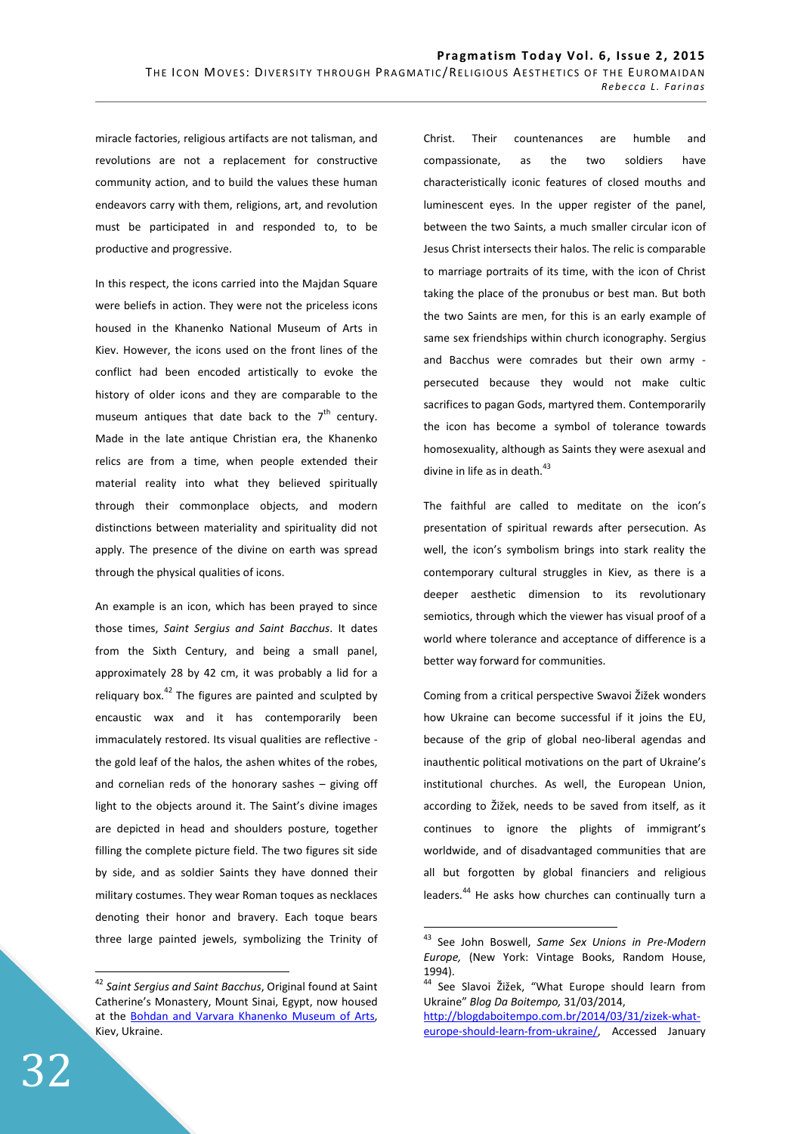miracle factories, religious artifacts are not talisman, and revolutions are not a replacement for constructive community action, and to build the values these human endeavors carry with them, religions, art, and revolution must be participated in and responded to, to be productive and progressive.

In this respect, the icons carried into the Majdan Square were beliefs in action. They were not the priceless icons housed in the Khanenko National Museum of Arts in Kiev. However, the icons used on the front lines of the conflict had been encoded artistically to evoke the history of older icons and they are comparable to the museum antiques that date back to the  $7<sup>th</sup>$  century. Made in the late antique Christian era, the Khanenko relics are from a time, when people extended their material reality into what they believed spiritually through their commonplace objects, and modern distinctions between materiality and spirituality did not apply. The presence of the divine on earth was spread through the physical qualities of icons.

An example is an icon, which has been prayed to since those times, *Saint Sergius and Saint Bacchus*. It dates from the Sixth Century, and being a small panel, approximately 28 by 42 cm, it was probably a lid for a reliquary box. $42$  The figures are painted and sculpted by encaustic wax and it has contemporarily been immaculately restored. Its visual qualities are reflective the gold leaf of the halos, the ashen whites of the robes, and cornelian reds of the honorary sashes – giving off light to the objects around it. The Saint's divine images are depicted in head and shoulders posture, together filling the complete picture field. The two figures sit side by side, and as soldier Saints they have donned their military costumes. They wear Roman toques as necklaces denoting their honor and bravery. Each toque bears three large painted jewels, symbolizing the Trinity of

 $\overline{a}$ <sup>42</sup> *Saint Sergius and Saint Bacchus*, Original found at Saint Catherine's Monastery, Mount Sinai, Egypt, now housed at the Bohdan and Varvara Khanenko Museum of Arts, Kiev, Ukraine.

Christ. Their countenances are humble and compassionate, as the two soldiers have characteristically iconic features of closed mouths and luminescent eyes. In the upper register of the panel, between the two Saints, a much smaller circular icon of Jesus Christ intersects their halos. The relic is comparable to marriage portraits of its time, with the icon of Christ taking the place of the pronubus or best man. But both the two Saints are men, for this is an early example of same sex friendships within church iconography. Sergius and Bacchus were comrades but their own army persecuted because they would not make cultic sacrifices to pagan Gods, martyred them. Contemporarily the icon has become a symbol of tolerance towards homosexuality, although as Saints they were asexual and divine in life as in death. $^{43}$ 

The faithful are called to meditate on the icon's presentation of spiritual rewards after persecution. As well, the icon's symbolism brings into stark reality the contemporary cultural struggles in Kiev, as there is a deeper aesthetic dimension to its revolutionary semiotics, through which the viewer has visual proof of a world where tolerance and acceptance of difference is a better way forward for communities.

Coming from a critical perspective Swavoi Žižek wonders how Ukraine can become successful if it joins the EU. because of the grip of global neo-liberal agendas and inauthentic political motivations on the part of Ukraine's institutional churches. As well, the European Union, according to Žižek, needs to be saved from itself, as it continues to ignore the plights of immigrant's worldwide, and of disadvantaged communities that are all but forgotten by global financiers and religious leaders.<sup>44</sup> He asks how churches can continually turn a

<sup>43</sup> See John Boswell, *Same Sex Unions in Pre-Modern Europe,* (New York: Vintage Books, Random House, 1994).

<sup>44</sup> See Slavoi Žižek, "What Europe should learn from Ukraine" *Blog Da Boitempo,* 31/03/2014,

http://blogdaboitempo.com.br/2014/03/31/zizek-whateurope-should-learn-from-ukraine/, Accessed January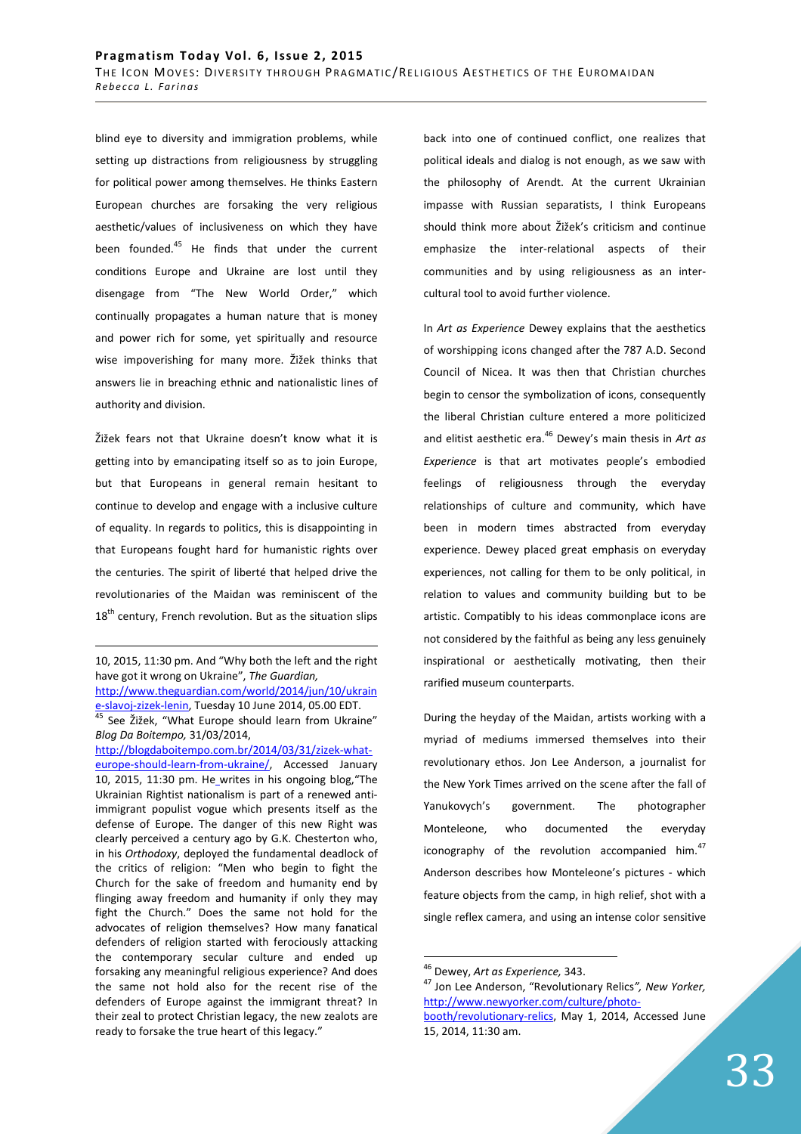blind eye to diversity and immigration problems, while setting up distractions from religiousness by struggling for political power among themselves. He thinks Eastern European churches are forsaking the very religious aesthetic/values of inclusiveness on which they have been founded.<sup>45</sup> He finds that under the current conditions Europe and Ukraine are lost until they disengage from "The New World Order," which continually propagates a human nature that is money and power rich for some, yet spiritually and resource wise impoverishing for many more. Žižek thinks that answers lie in breaching ethnic and nationalistic lines of authority and division.

Žižek fears not that Ukraine doesn't know what it is getting into by emancipating itself so as to join Europe, but that Europeans in general remain hesitant to continue to develop and engage with a inclusive culture of equality. In regards to politics, this is disappointing in that Europeans fought hard for humanistic rights over the centuries. The spirit of liberté that helped drive the revolutionaries of the Maidan was reminiscent of the  $18<sup>th</sup>$  century, French revolution. But as the situation slips

<u>.</u>

back into one of continued conflict, one realizes that political ideals and dialog is not enough, as we saw with the philosophy of Arendt. At the current Ukrainian impasse with Russian separatists, I think Europeans should think more about Žižek's criticism and continue emphasize the inter-relational aspects of their communities and by using religiousness as an intercultural tool to avoid further violence.

In *Art as Experience* Dewey explains that the aesthetics of worshipping icons changed after the 787 A.D. Second Council of Nicea. It was then that Christian churches begin to censor the symbolization of icons, consequently the liberal Christian culture entered a more politicized and elitist aesthetic era.<sup>46</sup> Dewey's main thesis in *Art as Experience* is that art motivates people's embodied feelings of religiousness through the everyday relationships of culture and community, which have been in modern times abstracted from everyday experience. Dewey placed great emphasis on everyday experiences, not calling for them to be only political, in relation to values and community building but to be artistic. Compatibly to his ideas commonplace icons are not considered by the faithful as being any less genuinely inspirational or aesthetically motivating, then their rarified museum counterparts.

During the heyday of the Maidan, artists working with a myriad of mediums immersed themselves into their revolutionary ethos. Jon Lee Anderson, a journalist for the New York Times arrived on the scene after the fall of Yanukovych's government. The photographer Monteleone, who documented the everyday iconography of the revolution accompanied him. $47$ Anderson describes how Monteleone's pictures - which feature objects from the camp, in high relief, shot with a single reflex camera, and using an intense color sensitive

<sup>10, 2015, 11:30</sup> pm. And "Why both the left and the right have got it wrong on Ukraine", *The Guardian,*  http://www.theguardian.com/world/2014/jun/10/ukrain e-slavoj-zizek-lenin, Tuesday 10 June 2014, 05.00 EDT. 45 See Žižek, "What Europe should learn from Ukraine" *Blog Da Boitempo,* 31/03/2014, http://blogdaboitempo.com.br/2014/03/31/zizek-whateurope-should-learn-from-ukraine/, Accessed January 10, 2015, 11:30 pm. He writes in his ongoing blog,"The Ukrainian Rightist nationalism is part of a renewed antiimmigrant populist vogue which presents itself as the defense of Europe. The danger of this new Right was clearly perceived a century ago by G.K. Chesterton who, in his *Orthodoxy*, deployed the fundamental deadlock of the critics of religion: "Men who begin to fight the Church for the sake of freedom and humanity end by flinging away freedom and humanity if only they may fight the Church." Does the same not hold for the advocates of religion themselves? How many fanatical defenders of religion started with ferociously attacking the contemporary secular culture and ended up forsaking any meaningful religious experience? And does the same not hold also for the recent rise of the defenders of Europe against the immigrant threat? In their zeal to protect Christian legacy, the new zealots are ready to forsake the true heart of this legacy."

<sup>46</sup> Dewey, *Art as Experience,* 343.

<sup>47</sup> Jon Lee Anderson, "Revolutionary Relics*", New Yorker,*  http://www.newyorker.com/culture/photo-

booth/revolutionary-relics, May 1, 2014, Accessed June 15, 2014, 11:30 am.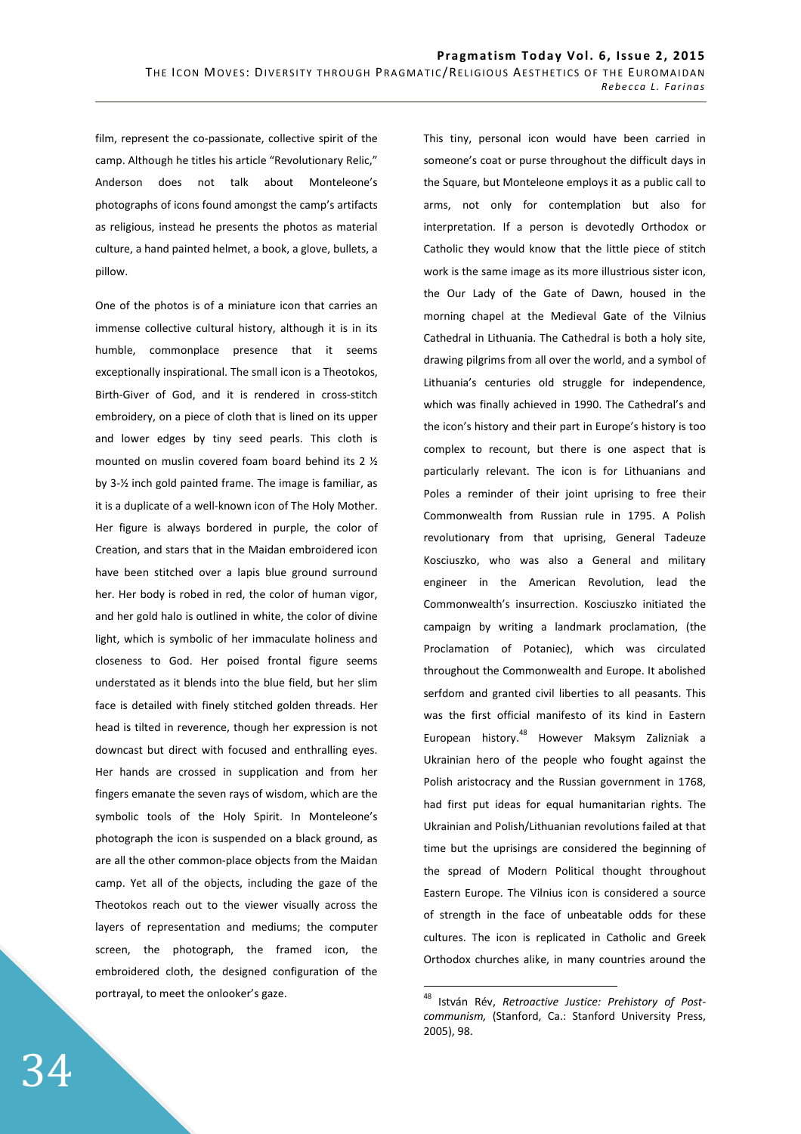film, represent the co-passionate, collective spirit of the camp. Although he titles his article "Revolutionary Relic," Anderson does not talk about Monteleone's photographs of icons found amongst the camp's artifacts as religious, instead he presents the photos as material culture, a hand painted helmet, a book, a glove, bullets, a pillow.

One of the photos is of a miniature icon that carries an immense collective cultural history, although it is in its humble, commonplace presence that it seems exceptionally inspirational. The small icon is a Theotokos, Birth-Giver of God, and it is rendered in cross-stitch embroidery, on a piece of cloth that is lined on its upper and lower edges by tiny seed pearls. This cloth is mounted on muslin covered foam board behind its 2 ½ by 3-½ inch gold painted frame. The image is familiar, as it is a duplicate of a well-known icon of The Holy Mother. Her figure is always bordered in purple, the color of Creation, and stars that in the Maidan embroidered icon have been stitched over a lapis blue ground surround her. Her body is robed in red, the color of human vigor, and her gold halo is outlined in white, the color of divine light, which is symbolic of her immaculate holiness and closeness to God. Her poised frontal figure seems understated as it blends into the blue field, but her slim face is detailed with finely stitched golden threads. Her head is tilted in reverence, though her expression is not downcast but direct with focused and enthralling eyes. Her hands are crossed in supplication and from her fingers emanate the seven rays of wisdom, which are the symbolic tools of the Holy Spirit. In Monteleone's photograph the icon is suspended on a black ground, as are all the other common-place objects from the Maidan camp. Yet all of the objects, including the gaze of the Theotokos reach out to the viewer visually across the layers of representation and mediums; the computer screen, the photograph, the framed icon, the embroidered cloth, the designed configuration of the portrayal, to meet the onlooker's gaze.

This tiny, personal icon would have been carried in someone's coat or purse throughout the difficult days in the Square, but Monteleone employs it as a public call to arms, not only for contemplation but also for interpretation. If a person is devotedly Orthodox or Catholic they would know that the little piece of stitch work is the same image as its more illustrious sister icon, the Our Lady of the Gate of Dawn, housed in the morning chapel at the Medieval Gate of the Vilnius Cathedral in Lithuania. The Cathedral is both a holy site, drawing pilgrims from all over the world, and a symbol of Lithuania's centuries old struggle for independence, which was finally achieved in 1990. The Cathedral's and the icon's history and their part in Europe's history is too complex to recount, but there is one aspect that is particularly relevant. The icon is for Lithuanians and Poles a reminder of their joint uprising to free their Commonwealth from Russian rule in 1795. A Polish revolutionary from that uprising, General Tadeuze Kosciuszko, who was also a General and military engineer in the American Revolution, lead the Commonwealth's insurrection. Kosciuszko initiated the campaign by writing a landmark proclamation, (the Proclamation of Potaniec), which was circulated throughout the Commonwealth and Europe. It abolished serfdom and granted civil liberties to all peasants. This was the first official manifesto of its kind in Eastern European history.<sup>48</sup> However Maksym Zalizniak a Ukrainian hero of the people who fought against the Polish aristocracy and the Russian government in 1768, had first put ideas for equal humanitarian rights. The Ukrainian and Polish/Lithuanian revolutions failed at that time but the uprisings are considered the beginning of the spread of Modern Political thought throughout Eastern Europe. The Vilnius icon is considered a source of strength in the face of unbeatable odds for these cultures. The icon is replicated in Catholic and Greek Orthodox churches alike, in many countries around the

<sup>48</sup> István Rév, *Retroactive Justice: Prehistory of Postcommunism,* (Stanford, Ca.: Stanford University Press, 2005), 98.